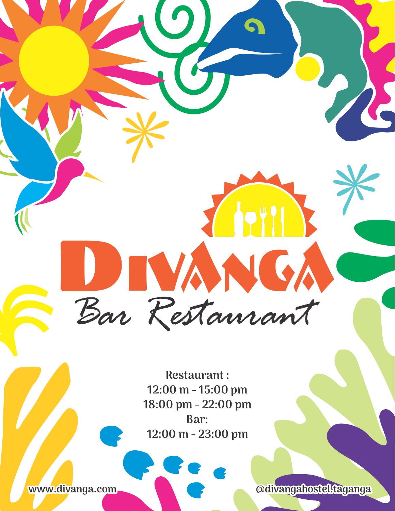**Restaurant : 12:00 m - 15:00 pm 18:00 pm - 22:00 pm Bar: 12:00 m - 23:00 pm**

Bar Restaurant

**www.divanga.com @divangahostel.taganga**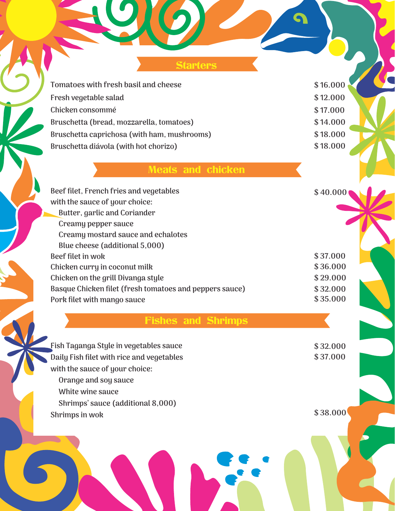**Starters** 

**Tomatoes with fresh basil and cheese \$16.000 Fresh vegetable salad Chicken consommé Bruschetta (bread, mozzarella, tomatoes) Bruschetta caprichosa (with ham, mushrooms) Bruschetta diávola (with hot chorizo)**

**\$ 12.000 \$ 17.000 \$ 14.000 \$ 18.000 \$ 18.000**

G

## Meats and chicken

| Beef filet, French fries and vegetables                 | \$40.000 |
|---------------------------------------------------------|----------|
| with the sauce of your choice:                          |          |
| Butter, garlic and Coriander                            |          |
| Creamy pepper sauce                                     |          |
| Creamy mostard sauce and echalotes                      |          |
| Blue cheese (additional 5,000)                          |          |
| Beef filet in wok                                       | \$37.000 |
| Chicken curry in coconut milk                           | \$36.000 |
| Chicken on the grill Divanga style                      | \$29.000 |
| Basque Chicken filet (fresh tomatoes and peppers sauce) | \$32.000 |
| Pork filet with mango sauce                             | \$35.000 |

# Fishes and Shrimps

**Fish Taganga Style in vegetables sauce Daily Fish filet with rice and vegetables with the sauce of your choice: Orange and soy sauce White wine sauce**

 **Shrimps' sauce (additional 8,000)**

**Shrimps in wok**

**\$ 38.000**

**\$ 32.000 \$ 37.000**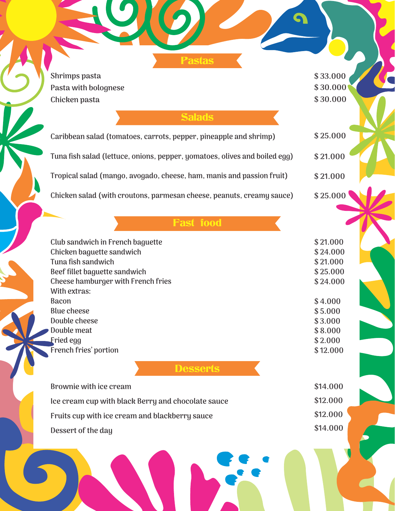**Shrimps pasta Pasta with bolognese Chicken pasta**

#### **Salads**

Pastas

**Caribbean salad (tomatoes, carrots, pepper, pineapple and shrimp) Tuna fish salad (lettuce, onions, pepper, yomatoes, olives and boiled egg) Tropical salad (mango, avogado, cheese, ham, manis and passion fruit) Chicken salad (with croutons, parmesan cheese, peanuts, creamy sauce) \$ 25.000 \$ 21.000 \$ 21.000 \$ 25.000**

# Fast food

**Club sandwich in French baguette Chicken baguette sandwich Tuna fish sandwich Beef fillet baguette sandwich Cheese hamburger with French fries With extras: Bacon Blue cheese Double cheese Double meat Fried egg French fries' portion**

**Desserts** 

| \$14.000 |
|----------|
| \$12.000 |
| \$12.000 |
| \$14.000 |
|          |

**\$ 33.000 \$ 30.000 \$ 30.000**

**\$ 21.000 \$ 24.000 \$ 21.000 \$ 25.000 \$ 24.000**

**\$ 4.000 \$ 5.000 \$ 3.000 \$ 8.000 \$ 2.000**

**\$ 12.000**

**b \$12.000**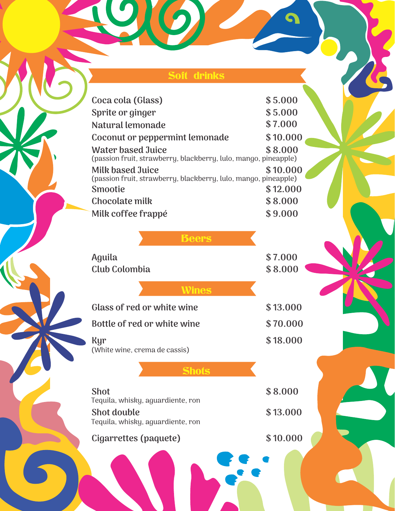### Soft drinks

 $\Omega$ 

**Contract Contract Contract** 

 $\overline{\mathcal{L}}$ 

| \$5.000                                                                     |
|-----------------------------------------------------------------------------|
| \$5.000                                                                     |
| \$7.000                                                                     |
| \$10.000                                                                    |
| \$8.000<br>(passion fruit, strawberry, blackberry, lulo, mango, pineapple)  |
| \$10.000                                                                    |
| (passion fruit, strawberry, blackberry, lulo, mango, pineapple)<br>\$12.000 |
| \$8.000                                                                     |
| \$9.000                                                                     |
|                                                                             |
|                                                                             |
| \$7.000                                                                     |
| \$8.000                                                                     |
|                                                                             |
| \$13.000                                                                    |
| \$70.000                                                                    |
| \$18.000                                                                    |
|                                                                             |
|                                                                             |
| \$8.000                                                                     |
|                                                                             |
| \$13.000                                                                    |
|                                                                             |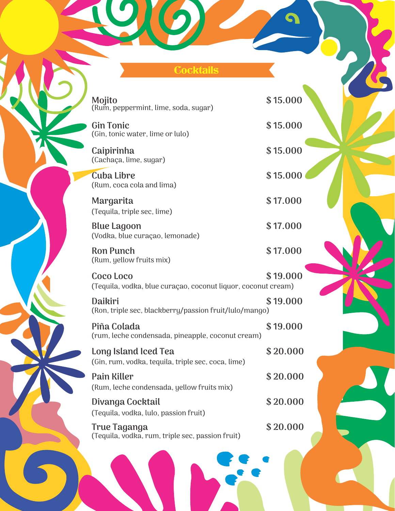### **Cocktails**

**Mojito** (Rum, peppermint, lime, soda, sugar)

**Gin Tonic**  (Gin, tonic water, lime or lulo)

**Caipirinha** (Cachaça, lime, sugar)

**Cuba Libre**  (Rum, coca cola and lima)

**Margarita** (Tequila, triple sec, lime)

**Blue Lagoon**  (Vodka, blue curaçao, lemonade)

**Ron Punch**  (Rum, yellow fruits mix)

**Coco Loco**  (Tequila, vodka, blue curaçao, coconut liquor, coconut cream) **\$ 19.000**

**Daikiri** (Ron, triple sec, blackberry/passion fruit/lulo/mango) **\$ 19.000**

**Piña Colada**  (rum, leche condensada, pineapple, coconut cream) **\$ 19.000**

**Long Island Iced Tea**  (Gin, rum, vodka, tequila, triple sec, coca, lime) **\$ 20.000**

**Pain Killer**  (Rum, leche condensada, yellow fruits mix)

**Divanga Cocktail**  (Tequila, vodka, lulo, passion fruit)

**True Taganga**  (Tequila, vodka, rum, triple sec, passion fruit) **\$ 15.000**

**\$ 15.000**

**\$ 15.000**

**\$ 15.000**

**\$ 17.000**

**\$ 17.000**

**\$ 17.000**

**\$ 20.000**

**\$ 20.000**

**\$ 20.000**